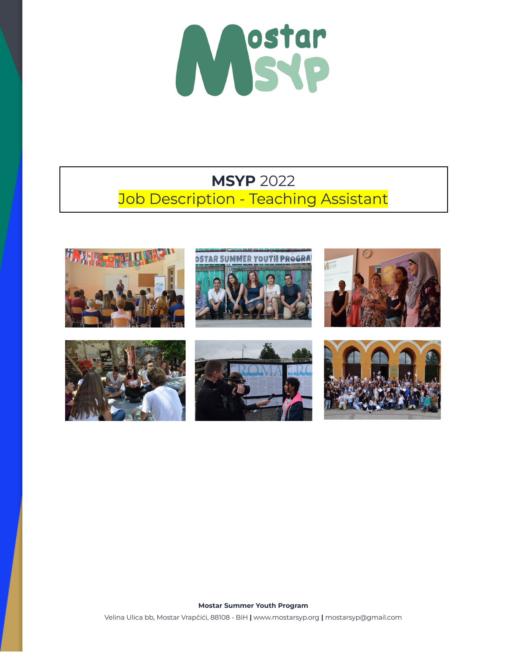

# **MSYP** 2022 Job Description - Teaching Assistant